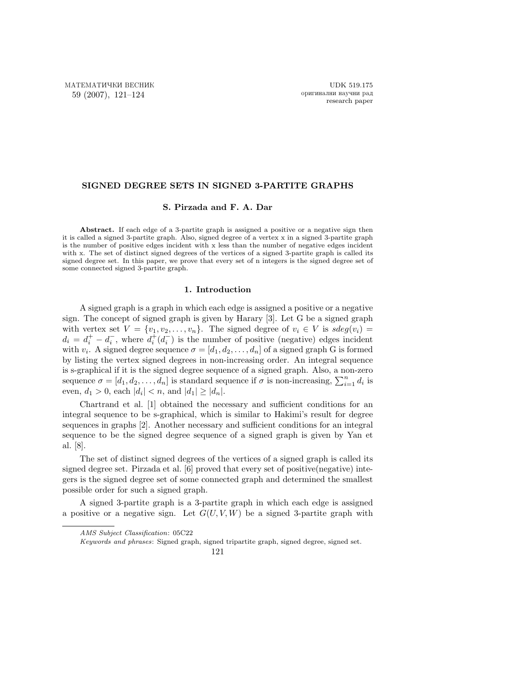# SIGNED DEGREE SETS IN SIGNED 3-PARTITE GRAPHS

### S. Pirzada and F. A. Dar

Abstract. If each edge of a 3-partite graph is assigned a positive or a negative sign then it is called a signed 3-partite graph. Also, signed degree of a vertex x in a signed 3-partite graph is the number of positive edges incident with x less than the number of negative edges incident with x. The set of distinct signed degrees of the vertices of a signed 3-partite graph is called its signed degree set. In this paper, we prove that every set of n integers is the signed degree set of some connected signed 3-partite graph.

## 1. Introduction

A signed graph is a graph in which each edge is assigned a positive or a negative sign. The concept of signed graph is given by Harary [3]. Let G be a signed graph with vertex set  $V = \{v_1, v_2, \ldots, v_n\}$ . The signed degree of  $v_i \in V$  is  $sdeg(v_i)$  $d_i = d_i^+ - d_i^-$ , where  $d_i^+(d_i^-)$  is the number of positive (negative) edges incident with  $v_i$ . A signed degree sequence  $\sigma = [d_1, d_2, \ldots, d_n]$  of a signed graph G is formed by listing the vertex signed degrees in non-increasing order. An integral sequence is s-graphical if it is the signed degree sequence of a signed graph. Also, a non-zero is s-graphical if it is the sighed degree sequence of a sighed graph. Also, a hon-zero sequence  $\sigma = [d_1, d_2, \ldots, d_n]$  is standard sequence if  $\sigma$  is non-increasing,  $\sum_{i=1}^n d_i$  is even,  $d_1 > 0$ , each  $|d_i| < n$ , and  $|d_1| \ge |d_n|$ .

Chartrand et al. [1] obtained the necessary and sufficient conditions for an integral sequence to be s-graphical, which is similar to Hakimi's result for degree sequences in graphs [2]. Another necessary and sufficient conditions for an integral sequence to be the signed degree sequence of a signed graph is given by Yan et al. [8].

The set of distinct signed degrees of the vertices of a signed graph is called its signed degree set. Pirzada et al. [6] proved that every set of positive(negative) integers is the signed degree set of some connected graph and determined the smallest possible order for such a signed graph.

A signed 3-partite graph is a 3-partite graph in which each edge is assigned a positive or a negative sign. Let  $G(U, V, W)$  be a signed 3-partite graph with

Keywords and phrases: Signed graph, signed tripartite graph, signed degree, signed set. 121

AMS Subject Classification: 05C22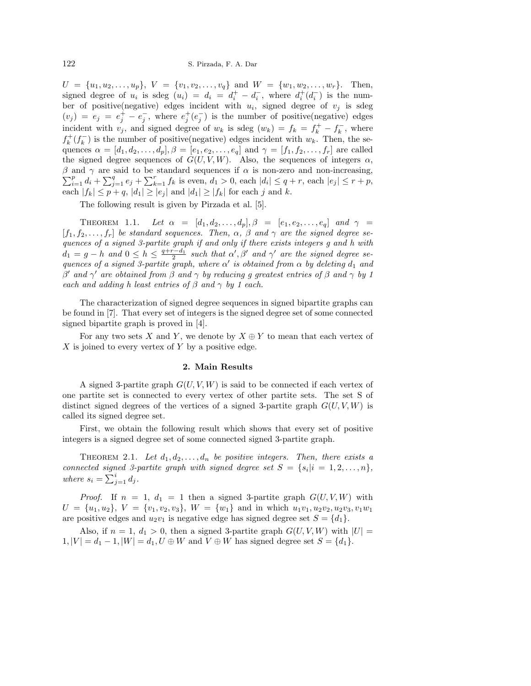$U = \{u_1, u_2, \ldots, u_p\}, V = \{v_1, v_2, \ldots, v_q\}$  and  $W = \{w_1, w_2, \ldots, w_r\}.$  Then, signed degree of  $u_i$  is sdeg  $(u_i) = d_i = d_i^+ - d_i^-$ , where  $d_i^+(d_i^-)$  is the number of positive(negative) edges incident with  $u_i$ , signed degree of  $v_j$  is sdeg  $(v_j) = e_j = e_j^+ - e_j^-$ , where  $e_j^+(e_j^-)$  is the number of positive(negative) edges incident with  $v_j$ , and signed degree of  $w_k$  is sdeg  $(w_k) = f_k = f_k^+ - f_k^-$ , where  $f_k^+(f_k^-)$  is the number of positive(negative) edges incident with  $w_k$ . Then, the sequences  $\alpha = [d_1, d_2, \ldots, d_p], \beta = [e_1, e_2, \ldots, e_q]$  and  $\gamma = [f_1, f_2, \ldots, f_r]$  are called the signed degree sequences of  $G(U, V, W)$ . Also, the sequences of integers  $\alpha$ ,  $β$  and γ are said to be standard sequences if α is non-zero and non-increasing, and  $\gamma$  are said to be standard sequences if  $\alpha$  is non-zero and non-increasing,<br> $\frac{p}{i-1} d_i + \sum_{j=1}^{q} e_j + \sum_{k=1}^{r} f_k$  is even,  $d_1 > 0$ , each  $|d_i| \leq q + r$ , each  $|e_j| \leq r + p$ , each  $|f_k| \leq p+q$ ,  $|d_1| \geq |e_j|$  and  $|d_1| \geq |f_k|$  for each j and k.

The following result is given by Pirzada et al. [5].

THEOREM 1.1. Let  $\alpha = [d_1, d_2, \ldots, d_p], \beta = [e_1, e_2, \ldots, e_q]$  and  $\gamma =$  $[f_1, f_2, \ldots, f_r]$  be standard sequences. Then,  $\alpha$ ,  $\beta$  and  $\gamma$  are the signed degree sequences of a signed 3-partite graph if and only if there exists integers g and h with  $d_1 = g - h$  and  $0 \leq h \leq \frac{q+r-d_1}{2}$  such that  $\alpha', \beta'$  and  $\gamma'$  are the signed degree sequences of a signed 3-partite graph, where  $\alpha'$  is obtained from  $\alpha$  by deleting  $d_1$  and  $β'$  and  $γ'$  are obtained from  $β$  and  $γ$  by reducing g greatest entries of  $β$  and  $γ$  by 1 each and adding h least entries of  $\beta$  and  $\gamma$  by 1 each.

The characterization of signed degree sequences in signed bipartite graphs can be found in [7]. That every set of integers is the signed degree set of some connected signed bipartite graph is proved in [4].

For any two sets X and Y, we denote by  $X \oplus Y$  to mean that each vertex of  $X$  is joined to every vertex of  $Y$  by a positive edge.

# 2. Main Results

A signed 3-partite graph  $G(U, V, W)$  is said to be connected if each vertex of one partite set is connected to every vertex of other partite sets. The set S of distinct signed degrees of the vertices of a signed 3-partite graph  $G(U, V, W)$  is called its signed degree set.

First, we obtain the following result which shows that every set of positive integers is a signed degree set of some connected signed 3-partite graph.

THEOREM 2.1. Let  $d_1, d_2, \ldots, d_n$  be positive integers. Then, there exists a connected signed 3-partite graph with signed degree set  $S = \{s_i | i = 1, 2, \ldots, n\},\$ where  $s_i = \sum_{j=1}^i d_j$ .

*Proof.* If  $n = 1$ ,  $d_1 = 1$  then a signed 3-partite graph  $G(U, V, W)$  with  $U = \{u_1, u_2\}, V = \{v_1, v_2, v_3\}, W = \{w_1\}$  and in which  $u_1v_1, u_2v_2, u_2v_3, v_1w_1$ are positive edges and  $u_2v_1$  is negative edge has signed degree set  $S = \{d_1\}.$ 

Also, if  $n = 1, d_1 > 0$ , then a signed 3-partite graph  $G(U, V, W)$  with  $|U| =$  $1, |V| = d_1 - 1, |W| = d_1, U \oplus W$  and  $V \oplus W$  has signed degree set  $S = \{d_1\}.$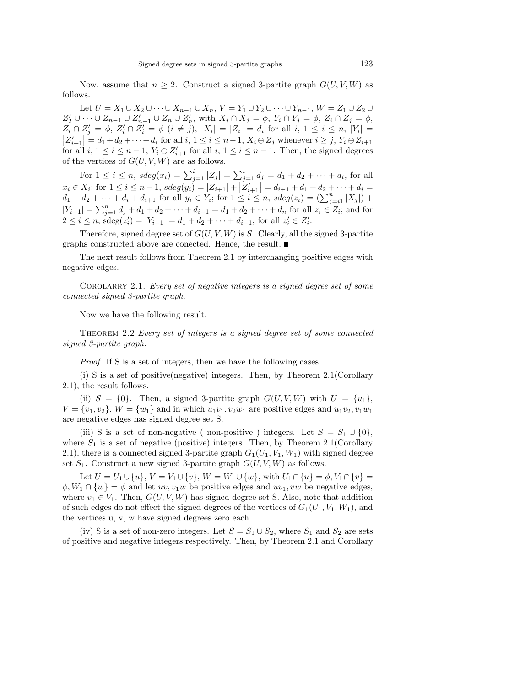Now, assume that  $n \geq 2$ . Construct a signed 3-partite graph  $G(U, V, W)$  as follows.

Let  $U = X_1 \cup X_2 \cup \cdots \cup X_{n-1} \cup X_n, V = Y_1 \cup Y_2 \cup \cdots \cup Y_{n-1}, W = Z_1 \cup Z_2 \cup Z_1$  $Z_2' \cup \cdots \cup Z_{n-1} \cup Z_{n-1}' \cup Z_n \cup Z_n'$ , with  $X_i \cap X_j = \phi$ ,  $Y_i \cap Y_j = \phi$ ,  $Z_i \cap Z_j = \phi$ ,  $Z_i \cap Z'_j = \phi, Z'_i \cap Z'_i = \phi \ (i \neq j), |X_i| = |Z_i| = d_i \text{ for all } i, 1 \leq i \leq n, |Y_i| =$  $|Z'_{i+1}| = d_1 + d_2 + \cdots + d_i$  for all  $i, 1 \leq i \leq n-1$ ,  $X_i \oplus Z_j$  whenever  $i \geq j$ ,  $Y_i \oplus Z_{i+1}$ for all  $i, 1 \leq i \leq n-1$ ,  $Y_i \oplus Z'_{i+1}$  for all  $i, 1 \leq i \leq n-1$ . Then, the signed degrees of the vertices of  $G(U, V, W)$  are as follows.

For  $1 \leq i \leq n$ ,  $\deg(x_i) = \sum_{j=1}^i |Z_j| = \sum_{j=1}^i d_j = d_1 + d_2 + \cdots + d_i$ , for all  $x_i \in X_i$ ; for  $1 \leq i \leq n-1$ ,  $sdeg(y_i) = |Z_{i+1}| +$  $\frac{1}{2}$ <br> $\frac{1}{2}$  $\begin{aligned} \mathbf{d}_i &= a_1 + a_2 + \cdots + a_i, \text{ for an } i \\ &= d_{i+1} + d_1 + d_2 + \cdots + d_i = 0 \end{aligned}$  $d_1 + d_2 + \cdots + d_i + d_{i+1}$  for all  $y_i \in Y_i$ ; for  $1 \leq i \leq n$ ,  $sdeg(z_i) = (\sum_{j=1}^n |X_j|) +$  $|Y_{i-1}| = \sum_{j=1}^{n} d_j + d_1 + d_2 + \cdots + d_{i-1} = d_1 + d_2 + \cdots + d_n$  for all  $z_i \in Z_i$ ; and for  $2 \leq i \leq n$ ,  $\text{sdeg}(z'_i) = |Y_{i-1}| = d_1 + d_2 + \cdots + d_{i-1}$ , for all  $z'_i \in Z'_i$ .

Therefore, signed degree set of  $G(U, V, W)$  is S. Clearly, all the signed 3-partite graphs constructed above are conected. Hence, the result.

The next result follows from Theorem 2.1 by interchanging positive edges with negative edges.

COROLARRY 2.1. Every set of negative integers is a signed degree set of some connected signed 3-partite graph.

Now we have the following result.

Theorem 2.2 Every set of integers is a signed degree set of some connected signed 3-partite graph.

Proof. If S is a set of integers, then we have the following cases.

(i) S is a set of positive(negative) integers. Then, by Theorem 2.1(Corollary 2.1), the result follows.

(ii)  $S = \{0\}$ . Then, a signed 3-partite graph  $G(U, V, W)$  with  $U = \{u_1\}$ ,  $V = \{v_1, v_2\}, W = \{w_1\}$  and in which  $u_1v_1, v_2w_1$  are positive edges and  $u_1v_2, v_1w_1$ are negative edges has signed degree set S.

(iii) S is a set of non-negative ( non-positive ) integers. Let  $S = S_1 \cup \{0\}$ , where  $S_1$  is a set of negative (positive) integers. Then, by Theorem 2.1(Corollary 2.1), there is a connected signed 3-partite graph  $G_1(U_1, V_1, W_1)$  with signed degree set  $S_1$ . Construct a new signed 3-partite graph  $G(U, V, W)$  as follows.

Let  $U = U_1 \cup \{u\}, V = V_1 \cup \{v\}, W = W_1 \cup \{w\}, \text{ with } U_1 \cap \{u\} = \phi, V_1 \cap \{v\}$  $\phi, W_1 \cap \{w\} = \phi$  and let  $uv, v_1w$  be positive edges and  $uv_1, vw$  be negative edges, where  $v_1 \in V_1$ . Then,  $G(U, V, W)$  has signed degree set S. Also, note that addition of such edges do not effect the signed degrees of the vertices of  $G_1(U_1, V_1, W_1)$ , and the vertices u, v, w have signed degrees zero each.

(iv) S is a set of non-zero integers. Let  $S = S_1 \cup S_2$ , where  $S_1$  and  $S_2$  are sets of positive and negative integers respectively. Then, by Theorem 2.1 and Corollary